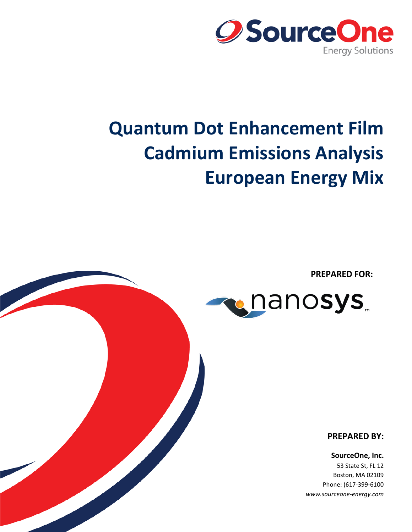

# **Quantum Dot Enhancement Film Cadmium Emissions Analysis European Energy Mix**

**PREPARED FOR:**



**PREPARED BY:**

**SourceOne, Inc.** 53 State St, FL 12 Boston, MA 02109 Phone: (617-399-6100 *www.sourceone-energy.com*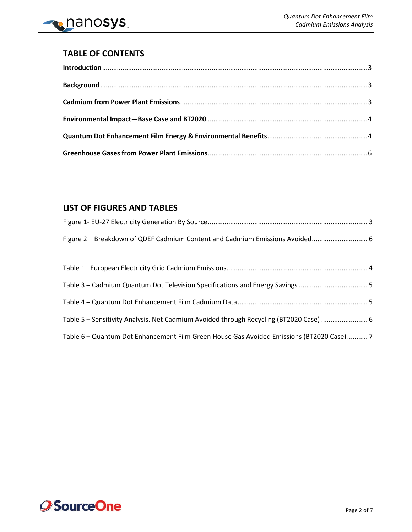

## **TABLE OF CONTENTS**

## **LIST OF FIGURES AND TABLES**

| Table 3 – Cadmium Quantum Dot Television Specifications and Energy Savings               |  |
|------------------------------------------------------------------------------------------|--|
|                                                                                          |  |
| Table 5 - Sensitivity Analysis. Net Cadmium Avoided through Recycling (BT2020 Case)  6   |  |
| Table 6 - Quantum Dot Enhancement Film Green House Gas Avoided Emissions (BT2020 Case) 7 |  |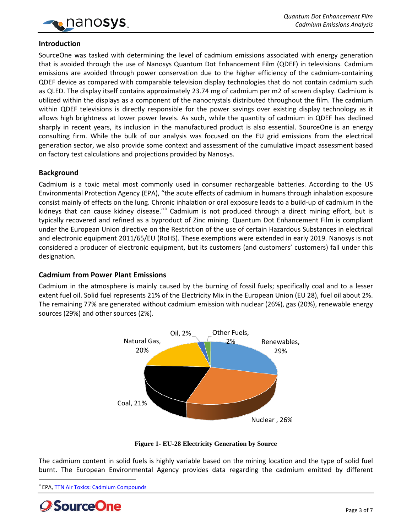

#### <span id="page-2-0"></span>**Introduction**

SourceOne was tasked with determining the level of cadmium emissions associated with energy generation that is avoided through the use of Nanosys Quantum Dot Enhancement Film (QDEF) in televisions. Cadmium emissions are avoided through power conservation due to the higher efficiency of the cadmium-containing QDEF device as compared with comparable television display technologies that do not contain cadmium such as QLED. The display itself contains approximately 23.74 mg of cadmium per m2 of screen display. Cadmium is utilized within the displays as a component of the nanocrystals distributed throughout the film. The cadmium within QDEF televisions is directly responsible for the power savings over existing display technology as it allows high brightness at lower power levels. As such, while the quantity of cadmium in QDEF has declined sharply in recent years, its inclusion in the manufactured product is also essential. SourceOne is an energy consulting firm. While the bulk of our analysis was focused on the EU grid emissions from the electrical generation sector, we also provide some context and assessment of the cumulative impact assessment based on factory test calculations and projections provided by Nanosys.

#### <span id="page-2-1"></span>**Background**

Cadmium is a toxic metal most commonly used in consumer rechargeable batteries. According to the US Environmental Protection Agency (EPA), "the acute effects of cadmium in humans through inhalation exposure consist mainly of effects on the lung. Chronic inhalation or oral exposure leads to a build-up of cadmium in the kidneys th[a](#page-2-4)t can cause kidney disease."<sup>a</sup> Cadmium is not produced through a direct mining effort, but is typically recovered and refined as a byproduct of Zinc mining. Quantum Dot Enhancement Film is compliant under the European Union directive on the Restriction of the use of certain Hazardous Substances in electrical and electronic equipment 2011/65/EU (RoHS). These exemptions were extended in early 2019. Nanosys is not considered a producer of electronic equipment, but its customers (and customers' customers) fall under this designation.

#### <span id="page-2-2"></span>**Cadmium from Power Plant Emissions**

Cadmium in the atmosphere is mainly caused by the burning of fossil fuels; specifically coal and to a lesser extent fuel oil. Solid fuel represents 21% of the Electricity Mix in the European Union (EU 28), fuel oil about 2%. The remaining 77% are generated without cadmium emission with nuclear (26%), gas (20%), renewable energy sources (29%) and other sources (2%).



**Figure 1- EU-28 Electricity Generation by Source**

<span id="page-2-3"></span>The cadmium content in solid fuels is highly variable based on the mining location and the type of solid fuel burnt. The European Environmental Agency provides data regarding the cadmium emitted by different

<span id="page-2-4"></span><sup>&</sup>lt;sup>a</sup> EPA, **TTN Air Toxics: Cadmium Compounds** 

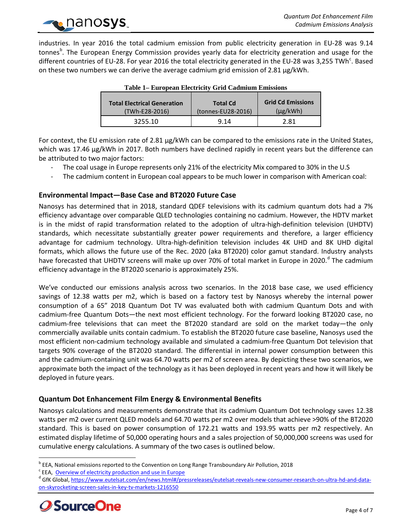

<span id="page-3-2"></span>industries. In year 2016 the total cadmium emission from public electricity generation in EU-28 was 9.14 tonnes<sup>[b](#page-3-3)</sup>. The European Energy Commission provides yearly data for electricity generation and usage for the different [c](#page-3-4)ountries of EU-28. For year 2016 the total electricity generated in the EU-28 was 3,255 TWh<sup>c</sup>. Based on these two numbers we can derive the average cadmium grid emission of  $2.81 \mu g/kWh$ .

| Table 1– European Electricity Grid Cadinum Emissions |                    |                          |  |  |  |
|------------------------------------------------------|--------------------|--------------------------|--|--|--|
| <b>Total Electrical Generation</b>                   | <b>Total Cd</b>    | <b>Grid Cd Emissions</b> |  |  |  |
| (TWh-E28-2016)                                       | (tonnes-EU28-2016) | $(\mu$ g/kWh $)$         |  |  |  |
| 3255.10                                              | 9.14               | 2.81                     |  |  |  |

#### **Table 1– European Electricity Grid Cadmium Emissions**

For context, the EU emission rate of 2.81 µg/kWh can be compared to the emissions rate in the United States, which was 17.46 µg/kWh in 2017. Both numbers have declined rapidly in recent years but the difference can be attributed to two major factors:

- The coal usage in Europe represents only 21% of the electricity Mix compared to 30% in the U.S
- The cadmium content in European coal appears to be much lower in comparison with American coal:

### <span id="page-3-0"></span>**Environmental Impact—Base Case and BT2020 Future Case**

Nanosys has determined that in 2018, standard QDEF televisions with its cadmium quantum dots had a 7% efficiency advantage over comparable QLED technologies containing no cadmium. However, the HDTV market is in the midst of rapid transformation related to the adoption of ultra-high-definition television (UHDTV) standards, which necessitate substantially greater power requirements and therefore, a larger efficiency advantage for cadmium technology. Ultra-high-definition television includes 4K UHD and 8K UHD digital formats, which allows the future use of the Rec. 2020 (aka BT2020) color gamut standard. Industry analysts have forecaste[d](#page-3-5) that UHDTV screens will make up over 70% of total market in Europe in 2020.<sup>d</sup> The cadmium efficiency advantage in the BT2020 scenario is approximately 25%.

We've conducted our emissions analysis across two scenarios. In the 2018 base case, we used efficiency savings of 12.38 watts per m2, which is based on a factory test by Nanosys whereby the internal power consumption of a 65" 2018 Quantum Dot TV was evaluated both with cadmium Quantum Dots and with cadmium-free Quantum Dots—the next most efficient technology. For the forward looking BT2020 case, no cadmium-free televisions that can meet the BT2020 standard are sold on the market today—the only commercially available units contain cadmium. To establish the BT2020 future case baseline, Nanosys used the most efficient non-cadmium technology available and simulated a cadmium-free Quantum Dot television that targets 90% coverage of the BT2020 standard. The differential in internal power consumption between this and the cadmium-containing unit was 64.70 watts per m2 of screen area. By depicting these two scenarios, we approximate both the impact of the technology as it has been deployed in recent years and how it will likely be deployed in future years.

### <span id="page-3-1"></span>**Quantum Dot Enhancement Film Energy & Environmental Benefits**

Nanosys calculations and measurements demonstrate that its cadmium Quantum Dot technology saves 12.38 watts per m2 over current QLED models and 64.70 watts per m2 over models that achieve >90% of the BT2020 standard. This is based on power consumption of 172.21 watts and 193.95 watts per m2 respectively. An estimated display lifetime of 50,000 operating hours and a sales projection of 50,000,000 screens was used for cumulative energy calculations. A summary of the two cases is outlined below.

<span id="page-3-5"></span><span id="page-3-4"></span><span id="page-3-3"></span><sup>&</sup>lt;sup>c</sup> EEA, <u>Overview of electricity production and use in Europe</u><br><sup>d</sup> GfK Global, <u>https://www.eutelsat.com/en/news.html#/pressreleases/eutelsat-reveals-new-consumer-research-on-ultra-hd-and-data-</u> [on-skyrocketing-screen-sales-in-key-tv-markets-1216550](https://www.eutelsat.com/en/news.html%23/pressreleases/eutelsat-reveals-new-consumer-research-on-ultra-hd-and-data-on-skyrocketing-screen-sales-in-key-tv-markets-1216550)



<sup>&</sup>lt;sup>b</sup> EEA, National emissions reported to the Convention on Long Range Transboundary Air Pollution, 2018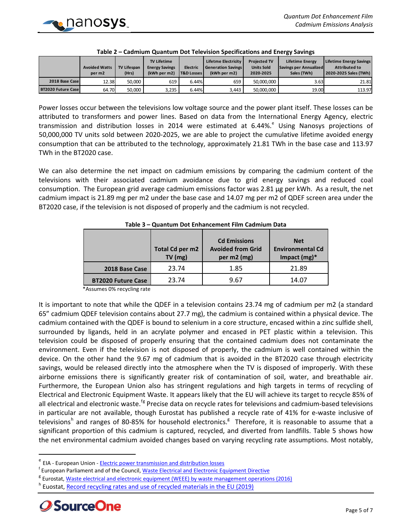<span id="page-4-0"></span>

|                           | <b>Avoided Watts</b><br>per m <sub>2</sub> | <b>TV Lifespan</b><br>(Hrs) | <b>TV Lifetime</b><br><b>Energy Savings</b><br>(kWh per m2) | Electric<br><b>T&amp;D Losses</b> | Lifetme Electricity<br><b>Generation Savings</b><br>(kWh per m2) | <b>Projected TV</b><br><b>Units Sold</b><br>2020-2025 | <b>Lifetime Energy</b><br>Savings per Annualized<br>Sales (TWh) | <b>Lifetime Energy Savings</b><br><b>Attributed to</b><br>2020-2025 Sales (TWh) |
|---------------------------|--------------------------------------------|-----------------------------|-------------------------------------------------------------|-----------------------------------|------------------------------------------------------------------|-------------------------------------------------------|-----------------------------------------------------------------|---------------------------------------------------------------------------------|
| 2018 Base Case            | 12.38                                      | 50,000                      | 619                                                         | 6.44%                             | 659                                                              | 50.000.000                                            | 3.63                                                            | 21.81                                                                           |
| <b>BT2020 Future Case</b> | 64.70                                      | 50,000                      | 3.235                                                       | 6.44%                             | 3.443                                                            | 50.000.000                                            | 19.00                                                           | 113.97                                                                          |

| Table 2 - Cadmium Quantum Dot Television Specifications and Energy Savings |
|----------------------------------------------------------------------------|
|----------------------------------------------------------------------------|

Power losses occur between the televisions low voltage source and the power plant itself. These losses can be attributed to transformers and power lines. Based on data from the International Energy Agency, electric transmission and distribution loss[e](#page-4-2)s in 2014 were estimated at  $6.44\%$ . Using Nanosys projections of 50,000,000 TV units sold between 2020-2025, we are able to project the cumulative lifetime avoided energy consumption that can be attributed to the technology, approximately 21.81 TWh in the base case and 113.97 TWh in the BT2020 case.

We can also determine the net impact on cadmium emissions by comparing the cadmium content of the televisions with their associated cadmium avoidance due to grid energy savings and reduced coal consumption. The European grid average cadmium emissions factor was 2.81 µg per kWh. As a result, the net cadmium impact is 21.89 mg per m2 under the base case and 14.07 mg per m2 of QDEF screen area under the BT2020 case, if the television is not disposed of properly and the cadmium is not recycled.

<span id="page-4-1"></span>

|                           | Total Cd per m2<br>$TV$ (mg) | <b>Cd Emissions</b><br><b>Avoided from Grid</b><br>per m2 (mg) | <b>Net</b><br><b>Environmental Cd</b><br>Impact $(mg)^*$ |
|---------------------------|------------------------------|----------------------------------------------------------------|----------------------------------------------------------|
| 2018 Base Case            | 23.74                        | 1.85                                                           | 21.89                                                    |
| <b>BT2020 Future Case</b> | 23.74                        | 9.67                                                           | 14.07                                                    |

**Table 3 – Quantum Dot Enhancement Film Cadmium Data**

\*Assumes 0% recycling rate

It is important to note that while the QDEF in a television contains 23.74 mg of cadmium per m2 (a standard 65" cadmium QDEF television contains about 27.7 mg), the cadmium is contained within a physical device. The cadmium contained with the QDEF is bound to selenium in a core structure, encased within a zinc sulfide shell, surrounded by ligands, held in an acrylate polymer and encased in PET plastic within a television. This television could be disposed of properly ensuring that the contained cadmium does not contaminate the environment. Even if the television is not disposed of properly, the cadmium is well contained within the device. On the other hand the 9.67 mg of cadmium that is avoided in the BT2020 case through electricity savings, would be released directly into the atmosphere when the TV is disposed of improperly. With these airborne emissions there is significantly greater risk of contamination of soil, water, and breathable air. Furthermore, the European Union also has stringent regulations and high targets in terms of recycling of Electrical and Electronic Equipment Waste. It appears likely that the EU will achieve its target to recycle 85% of all electrical and electronic waste.<sup>[f](#page-4-3)[g](#page-4-4)</sup> Precise data on recycle rates for televisions and cadmium-based televisions in particular are not available, though Eurostat has published a recycle rate of 41% for e-waste inclusive of televisions<sup>[h](#page-4-5)</sup> and ranges of 80-85% for household electronics.<sup>g</sup> Therefore, it is reasonable to assume that a significant proportion of this cadmium is captured, recycled, and diverted from landfills. Table 5 shows how the net environmental cadmium avoided changes based on varying recycling rate assumptions. Most notably,

<span id="page-4-5"></span><span id="page-4-4"></span><sup>&</sup>lt;sup>h</sup> Euostat, [Record recycling rates and use of recycled materials in the EU \(2019\)](https://ec.europa.eu/eurostat/documents/2995521/9629294/8-04032019-BP-EN.pdf/295c2302-4ed1-45b9-af86-96d1bbb7acb1)



<span id="page-4-2"></span>e EIA - European Union - [Electric power transmission and distribution losses](https://www.indexmundi.com/facts/european-union/electric-power-transmission-and-distribution-losses)

<span id="page-4-3"></span><sup>&</sup>lt;sup>f</sup> European Parliament and of the Council, Waste Electrical and Electronic Equipment Directive

<sup>&</sup>lt;sup>B</sup> Eurostat, [Waste electrical and electronic equipment \(WEEE\) by waste management operations](http://ec.europa.eu/environment/waste/weee/data_en.htm) (2016)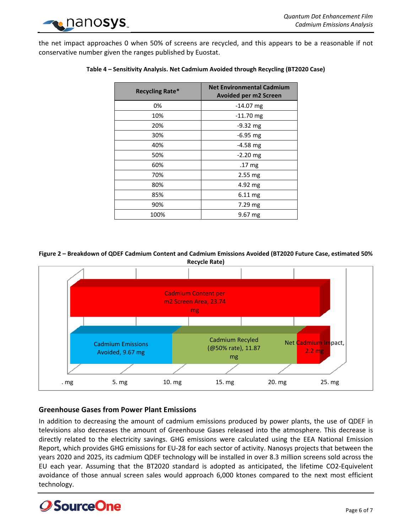

<span id="page-5-2"></span>the net impact approaches 0 when 50% of screens are recycled, and this appears to be a reasonable if not conservative number given the ranges published by Euostat.

| <b>Recycling Rate*</b> | <b>Net Environmental Cadmium</b><br><b>Avoided per m2 Screen</b> |
|------------------------|------------------------------------------------------------------|
| 0%                     | $-14.07$ mg                                                      |
| 10%                    | $-11.70$ mg                                                      |
| 20%                    | $-9.32$ mg                                                       |
| 30%                    | $-6.95$ mg                                                       |
| 40%                    | $-4.58$ mg                                                       |
| 50%                    | $-2.20$ mg                                                       |
| 60%                    | .17 mg                                                           |
| 70%                    | $2.55$ mg                                                        |
| 80%                    | 4.92 mg                                                          |
| 85%                    | $6.11 \text{ mg}$                                                |
| 90%                    | $7.29$ mg                                                        |
| 100%                   | $9.67 \text{ mg}$                                                |

#### **Table 4 – Sensitivity Analysis. Net Cadmium Avoided through Recycling (BT2020 Case)**

<span id="page-5-1"></span>**Figure 2 – Breakdown of QDEF Cadmium Content and Cadmium Emissions Avoided (BT2020 Future Case, estimated 50% Recycle Rate)**



#### <span id="page-5-0"></span>**Greenhouse Gases from Power Plant Emissions**

In addition to decreasing the amount of cadmium emissions produced by power plants, the use of QDEF in televisions also decreases the amount of Greenhouse Gases released into the atmosphere. This decrease is directly related to the electricity savings. GHG emissions were calculated using the EEA National Emission Report, which provides GHG emissions for EU-28 for each sector of activity. Nanosys projects that between the years 2020 and 2025, its cadmium QDEF technology will be installed in over 8.3 million screens sold across the EU each year. Assuming that the BT2020 standard is adopted as anticipated, the lifetime CO2-Equivelent avoidance of those annual screen sales would approach 6,000 ktones compared to the next most efficient technology.